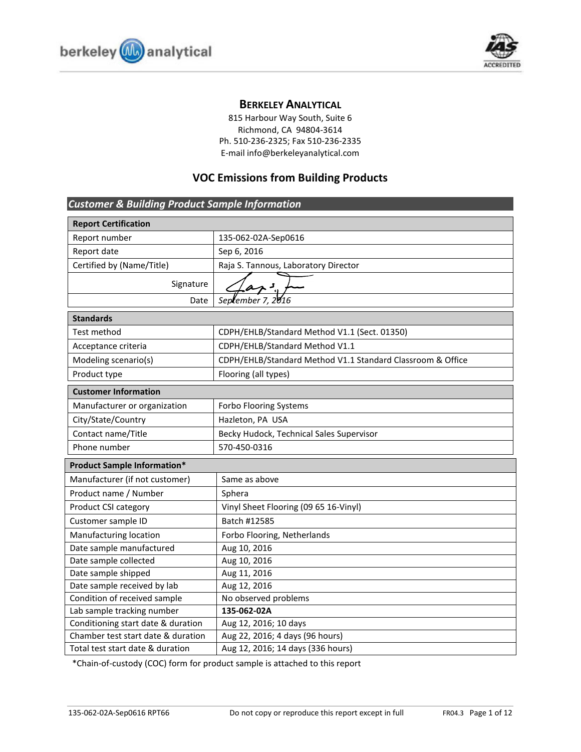



# **BERKELEY ANALYTICAL**

815 Harbour Way South, Suite 6 Richmond, CA 94804-3614 Ph. 510-236-2325; Fax 510-236-2335 E-mail info@berkeleyanalytical.com

# **VOC Emissions from Building Products**

| <b>Customer &amp; Building Product Sample Information</b> |                                                            |  |  |
|-----------------------------------------------------------|------------------------------------------------------------|--|--|
| <b>Report Certification</b>                               |                                                            |  |  |
| Report number                                             | 135-062-02A-Sep0616                                        |  |  |
| Report date                                               | Sep 6, 2016                                                |  |  |
| Certified by (Name/Title)                                 | Raja S. Tannous, Laboratory Director                       |  |  |
| Signature                                                 |                                                            |  |  |
| Date                                                      | September 7, 2016                                          |  |  |
| <b>Standards</b>                                          |                                                            |  |  |
| Test method                                               | CDPH/EHLB/Standard Method V1.1 (Sect. 01350)               |  |  |
| Acceptance criteria                                       | CDPH/EHLB/Standard Method V1.1                             |  |  |
| Modeling scenario(s)                                      | CDPH/EHLB/Standard Method V1.1 Standard Classroom & Office |  |  |
| Product type                                              | Flooring (all types)                                       |  |  |
| <b>Customer Information</b>                               |                                                            |  |  |
| Manufacturer or organization                              | Forbo Flooring Systems                                     |  |  |
| City/State/Country                                        | Hazleton, PA USA                                           |  |  |
| Contact name/Title                                        | Becky Hudock, Technical Sales Supervisor                   |  |  |
| Phone number                                              | 570-450-0316                                               |  |  |
| <b>Product Sample Information*</b>                        |                                                            |  |  |
| Manufacturer (if not customer)                            | Same as above                                              |  |  |
| Product name / Number                                     | Sphera                                                     |  |  |
| Product CSI category                                      | Vinyl Sheet Flooring (09 65 16-Vinyl)                      |  |  |
| Customer sample ID                                        | Batch #12585                                               |  |  |
| Manufacturing location                                    | Forbo Flooring, Netherlands                                |  |  |
| Date sample manufactured                                  | Aug 10, 2016                                               |  |  |
| Date sample collected                                     | Aug 10, 2016                                               |  |  |
| Date sample shipped                                       | Aug 11, 2016                                               |  |  |
| Date sample received by lab                               | Aug 12, 2016                                               |  |  |
| Condition of received sample                              | No observed problems                                       |  |  |
| Lab sample tracking number                                | 135-062-02A                                                |  |  |
| Conditioning start date & duration                        | Aug 12, 2016; 10 days                                      |  |  |
| Chamber test start date & duration                        | Aug 22, 2016; 4 days (96 hours)                            |  |  |
| Total test start date & duration                          | Aug 12, 2016; 14 days (336 hours)                          |  |  |

\*Chain-of-custody (COC) form for product sample is attached to this report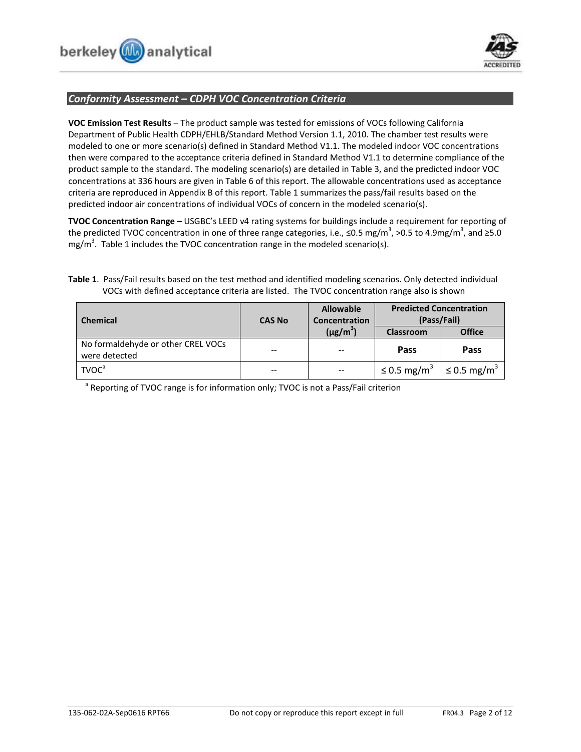

## *Conformity Assessment – CDPH VOC Concentration Criteria*

**VOC Emission Test Results** – The product sample was tested for emissions of VOCs following California Department of Public Health CDPH/EHLB/Standard Method Version 1.1, 2010. The chamber test results were modeled to one or more scenario(s) defined in Standard Method V1.1. The modeled indoor VOC concentrations then were compared to the acceptance criteria defined in Standard Method V1.1 to determine compliance of the product sample to the standard. The modeling scenario(s) are detailed in Table 3, and the predicted indoor VOC concentrations at 336 hours are given in Table 6 of this report. The allowable concentrations used as acceptance criteria are reproduced in Appendix B of this report. Table 1 summarizes the pass/fail results based on the predicted indoor air concentrations of individual VOCs of concern in the modeled scenario(s).

**TVOC Concentration Range –** USGBC's LEED v4 rating systems for buildings include a requirement for reporting of the predicted TVOC concentration in one of three range categories, i.e., ≤0.5 mg/m<sup>3</sup>, >0.5 to 4.9mg/m<sup>3</sup>, and ≥5.0 mg/m<sup>3</sup>. Table 1 includes the TVOC concentration range in the modeled scenario(s).

## **Table 1**. Pass/Fail results based on the test method and identified modeling scenarios. Only detected individual VOCs with defined acceptance criteria are listed. The TVOC concentration range also is shown

| <b>Chemical</b>                                     | <b>CAS No</b>            | <b>Allowable</b><br>Concentration | <b>Predicted Concentration</b><br>(Pass/Fail)     |               |
|-----------------------------------------------------|--------------------------|-----------------------------------|---------------------------------------------------|---------------|
|                                                     |                          | $(\mu g/m^3)$                     | <b>Classroom</b>                                  | <b>Office</b> |
| No formaldehyde or other CREL VOCs<br>were detected | --                       | --                                | Pass                                              | Pass          |
| <b>TVOC</b> <sup>a</sup>                            | $\overline{\phantom{a}}$ | $- -$                             | ≤ 0.5 mg/m <sup>3</sup>   ≤ 0.5 mg/m <sup>3</sup> |               |

<sup>a</sup> Reporting of TVOC range is for information only; TVOC is not a Pass/Fail criterion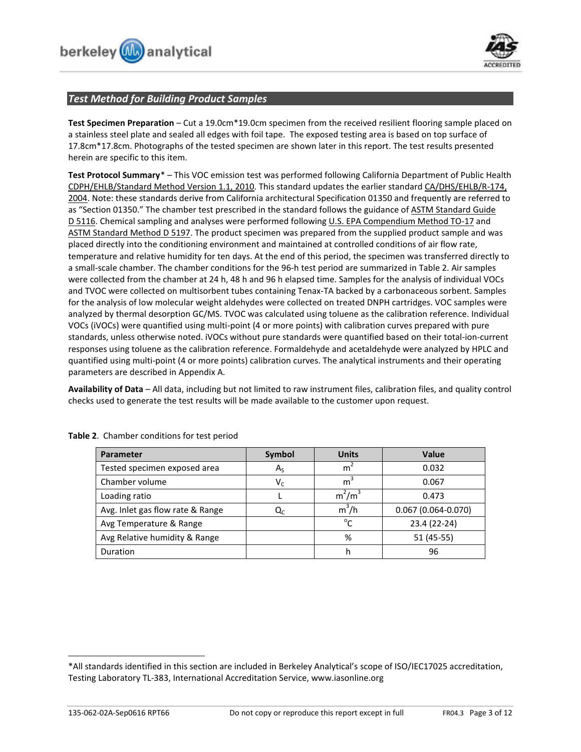



## *Test Method for Building Product Samples*

**Test Specimen Preparation** – Cut a 19.0cm\*19.0cm specimen from the received resilient flooring sample placed on a stainless steel plate and sealed all edges with foil tape. The exposed testing area is based on top surface of 17.8cm\*17.8cm. Photographs of the tested specimen are shown later in this report. The test results presented herein are specific to this item.

**Test Protocol Summary**[\\*](#page-2-0) – This VOC emission test was performed following California Department of Public Health CDPH/EHLB/Standard Method Version 1.1, 2010. This standard updates the earlier standard CA/DHS/EHLB/R-174, 2004. Note: these standards derive from California architectural Specification 01350 and frequently are referred to as "Section 01350." The chamber test prescribed in the standard follows the guidance of ASTM Standard Guide D 5116. Chemical sampling and analyses were performed following U.S. EPA Compendium Method TO-17 and ASTM Standard Method D 5197. The product specimen was prepared from the supplied product sample and was placed directly into the conditioning environment and maintained at controlled conditions of air flow rate, temperature and relative humidity for ten days. At the end of this period, the specimen was transferred directly to a small-scale chamber. The chamber conditions for the 96-h test period are summarized in Table 2. Air samples were collected from the chamber at 24 h, 48 h and 96 h elapsed time. Samples for the analysis of individual VOCs and TVOC were collected on multisorbent tubes containing Tenax-TA backed by a carbonaceous sorbent. Samples for the analysis of low molecular weight aldehydes were collected on treated DNPH cartridges. VOC samples were analyzed by thermal desorption GC/MS. TVOC was calculated using toluene as the calibration reference. Individual VOCs (iVOCs) were quantified using multi-point (4 or more points) with calibration curves prepared with pure standards, unless otherwise noted. iVOCs without pure standards were quantified based on their total-ion-current responses using toluene as the calibration reference. Formaldehyde and acetaldehyde were analyzed by HPLC and quantified using multi-point (4 or more points) calibration curves. The analytical instruments and their operating parameters are described in Appendix A.

**Availability of Data** – All data, including but not limited to raw instrument files, calibration files, and quality control checks used to generate the test results will be made available to the customer upon request.

| <b>Parameter</b>                 | Symbol  | <b>Units</b>   | Value                  |
|----------------------------------|---------|----------------|------------------------|
| Tested specimen exposed area     | $A_{S}$ | m <sup>2</sup> | 0.032                  |
| Chamber volume                   | $V_c$   | m <sup>3</sup> | 0.067                  |
| Loading ratio                    |         | $m^2/m^3$      | 0.473                  |
| Avg. Inlet gas flow rate & Range | Qr      | $m^3/h$        | $0.067(0.064 - 0.070)$ |
| Avg Temperature & Range          |         | $^{\circ}$ C   | 23.4 (22-24)           |
| Avg Relative humidity & Range    |         | %              | 51 (45-55)             |
| Duration                         |         | h              | 96                     |

**Table 2**. Chamber conditions for test period

-

<span id="page-2-0"></span><sup>\*</sup>All standards identified in this section are included in Berkeley Analytical's scope of ISO/IEC17025 accreditation, Testing Laboratory TL-383, International Accreditation Service, www.iasonline.org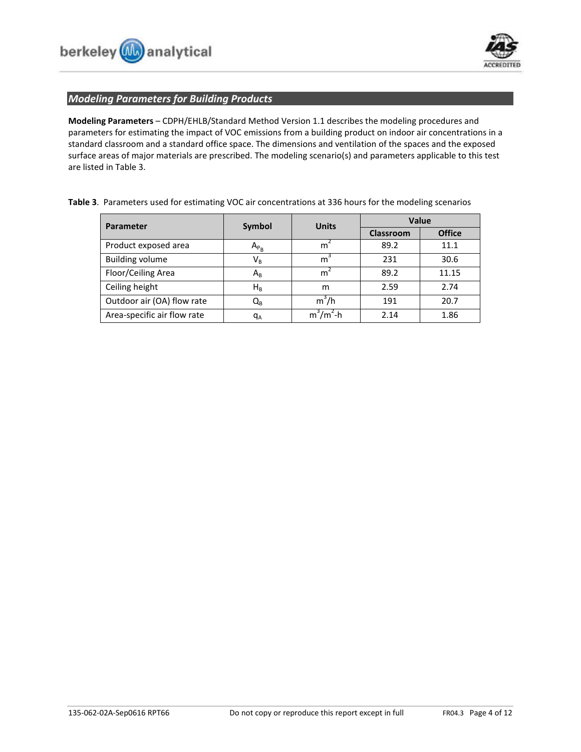



## *Modeling Parameters for Building Products*

**Modeling Parameters** – CDPH/EHLB/Standard Method Version 1.1 describes the modeling procedures and parameters for estimating the impact of VOC emissions from a building product on indoor air concentrations in a standard classroom and a standard office space. The dimensions and ventilation of the spaces and the exposed surface areas of major materials are prescribed. The modeling scenario(s) and parameters applicable to this test are listed in Table 3.

| Table 3. Parameters used for estimating VOC air concentrations at 336 hours for the modeling scenarios |  |
|--------------------------------------------------------------------------------------------------------|--|
|--------------------------------------------------------------------------------------------------------|--|

| Parameter                   | <b>Units</b><br>Symbol  |              | Value            |               |  |
|-----------------------------|-------------------------|--------------|------------------|---------------|--|
|                             |                         |              | <b>Classroom</b> | <b>Office</b> |  |
| Product exposed area        | $A_{P_B}$               | m            | 89.2             | 11.1          |  |
| <b>Building volume</b>      | $\mathsf{V}_\mathsf{R}$ | m            | 231              | 30.6          |  |
| Floor/Ceiling Area          | $A_{R}$                 | m            | 89.2             | 11.15         |  |
| Ceiling height              | $H_R$                   | m            | 2.59             | 2.74          |  |
| Outdoor air (OA) flow rate  | Q <sub>R</sub>          | $m^3/h$      | 191              | 20.7          |  |
| Area-specific air flow rate | $q_A$                   | $m^3/m^2$ -h | 2.14             | 1.86          |  |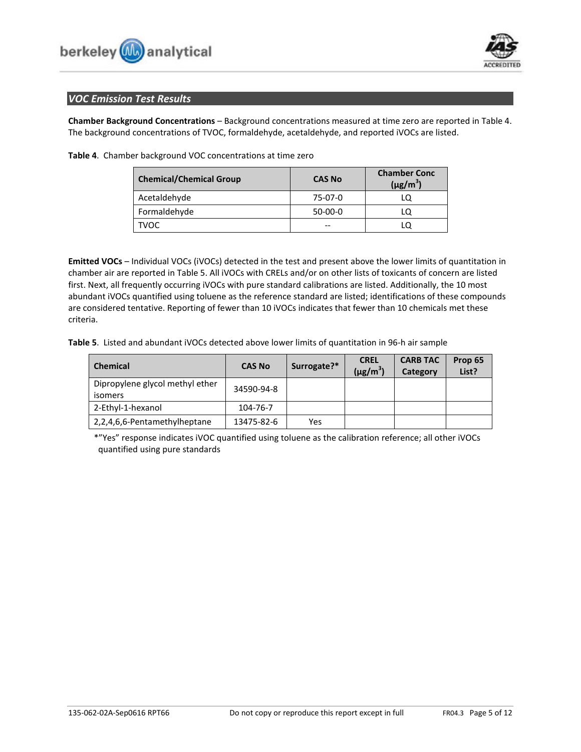



## *VOC Emission Test Results*

**Chamber Background Concentrations** – Background concentrations measured at time zero are reported in Table 4. The background concentrations of TVOC, formaldehyde, acetaldehyde, and reported iVOCs are listed.

| <b>Chemical/Chemical Group</b> | <b>CAS No</b> | <b>Chamber Conc</b><br>$(\mu$ g/m <sup>3</sup> ) |
|--------------------------------|---------------|--------------------------------------------------|
| Acetaldehyde                   | 75-07-0       |                                                  |
| Formaldehyde                   | $50-00-0$     |                                                  |
| <b>TVOC</b>                    | --            |                                                  |

**Table 4**. Chamber background VOC concentrations at time zero

**Emitted VOCs** – Individual VOCs (iVOCs) detected in the test and present above the lower limits of quantitation in chamber air are reported in Table 5. All iVOCs with CRELs and/or on other lists of toxicants of concern are listed first. Next, all frequently occurring iVOCs with pure standard calibrations are listed. Additionally, the 10 most abundant iVOCs quantified using toluene as the reference standard are listed; identifications of these compounds are considered tentative. Reporting of fewer than 10 iVOCs indicates that fewer than 10 chemicals met these criteria.

**Table 5**. Listed and abundant iVOCs detected above lower limits of quantitation in 96-h air sample

| <b>Chemical</b>                            | <b>CAS No</b> | Surrogate?* | <b>CREL</b><br>$(\mu g/m^3)$ | <b>CARB TAC</b><br>Category | Prop 65<br>List? |
|--------------------------------------------|---------------|-------------|------------------------------|-----------------------------|------------------|
| Dipropylene glycol methyl ether<br>isomers | 34590-94-8    |             |                              |                             |                  |
| 2-Ethyl-1-hexanol                          | 104-76-7      |             |                              |                             |                  |
| 2,2,4,6,6-Pentamethylheptane               | 13475-82-6    | Yes         |                              |                             |                  |

\*"Yes" response indicates iVOC quantified using toluene as the calibration reference; all other iVOCs quantified using pure standards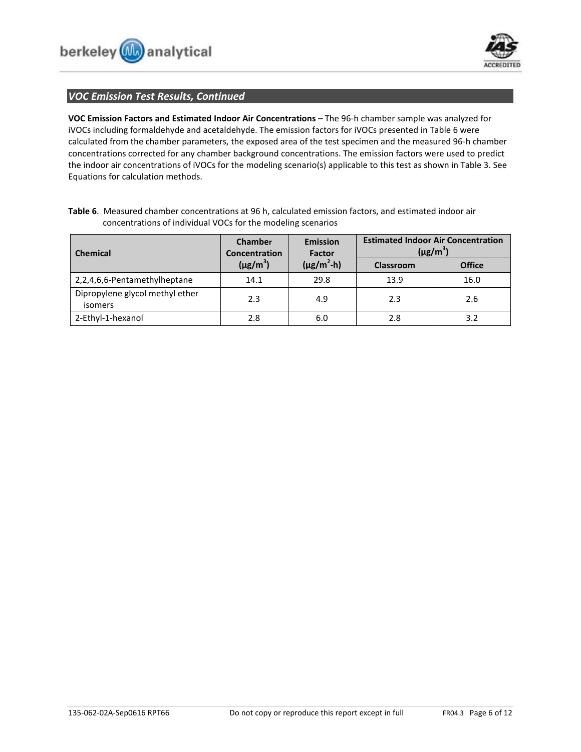

## *VOC Emission Test Results, Continued*

**VOC Emission Factors and Estimated Indoor Air Concentrations** – The 96-h chamber sample was analyzed for iVOCs including formaldehyde and acetaldehyde. The emission factors for iVOCs presented in Table 6 were calculated from the chamber parameters, the exposed area of the test specimen and the measured 96-h chamber concentrations corrected for any chamber background concentrations. The emission factors were used to predict the indoor air concentrations of iVOCs for the modeling scenario(s) applicable to this test as shown in Table 3. See Equations for calculation methods.

| <b>Chemical</b>                            | Chamber<br>Concentration | <b>Emission</b><br><b>Factor</b> | <b>Estimated Indoor Air Concentration</b><br>$(\mu$ g/m <sup>3</sup> ) |               |
|--------------------------------------------|--------------------------|----------------------------------|------------------------------------------------------------------------|---------------|
|                                            | $(\mu g/m^3)$            | $(\mu$ g/m <sup>2</sup> -h)      | Classroom                                                              | <b>Office</b> |
| 2,2,4,6,6-Pentamethylheptane               | 14.1                     | 29.8                             | 13.9                                                                   | 16.0          |
| Dipropylene glycol methyl ether<br>isomers | 2.3                      | 4.9                              | 2.3                                                                    | 2.6           |
| 2-Ethyl-1-hexanol                          | 2.8                      | 6.0                              | 2.8                                                                    | 3.2           |

**Table 6**. Measured chamber concentrations at 96 h, calculated emission factors, and estimated indoor air concentrations of individual VOCs for the modeling scenarios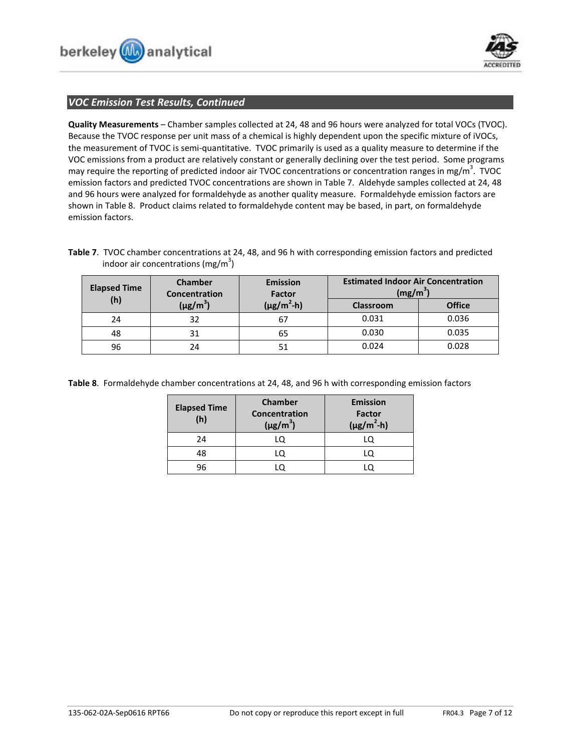



## *VOC Emission Test Results, Continued*

**Quality Measurements** – Chamber samples collected at 24, 48 and 96 hours were analyzed for total VOCs (TVOC). Because the TVOC response per unit mass of a chemical is highly dependent upon the specific mixture of iVOCs, the measurement of TVOC is semi-quantitative. TVOC primarily is used as a quality measure to determine if the VOC emissions from a product are relatively constant or generally declining over the test period. Some programs may require the reporting of predicted indoor air TVOC concentrations or concentration ranges in mg/m<sup>3</sup>. TVOC emission factors and predicted TVOC concentrations are shown in Table 7. Aldehyde samples collected at 24, 48 and 96 hours were analyzed for formaldehyde as another quality measure. Formaldehyde emission factors are shown in Table 8. Product claims related to formaldehyde content may be based, in part, on formaldehyde emission factors.

**Table 7**. TVOC chamber concentrations at 24, 48, and 96 h with corresponding emission factors and predicted indoor air concentrations (mg/m<sup>3</sup>)

| <b>Elapsed Time</b> | <b>Chamber</b><br>Concentration | <b>Emission</b><br>Factor | <b>Estimated Indoor Air Concentration</b><br>$(mg/m^3)$ |               |
|---------------------|---------------------------------|---------------------------|---------------------------------------------------------|---------------|
| (h)                 | $(\mu$ g/m <sup>3</sup> )       | $(\mu g/m^2-h)$           | <b>Classroom</b>                                        | <b>Office</b> |
| 24                  | 32                              | 67                        | 0.031                                                   | 0.036         |
| 48                  | 31                              | 65                        | 0.030                                                   | 0.035         |
| 96                  | 24                              | 51                        | 0.024                                                   | 0.028         |

**Table 8**. Formaldehyde chamber concentrations at 24, 48, and 96 h with corresponding emission factors

| <b>Elapsed Time</b><br>(h) | Chamber<br><b>Concentration</b><br>$(\mu g/m^3)$ | <b>Emission</b><br>Factor<br>$(\mu g/m^2-h)$ |
|----------------------------|--------------------------------------------------|----------------------------------------------|
| 24                         | LQ                                               |                                              |
| 48                         | LO                                               |                                              |
| 96                         |                                                  |                                              |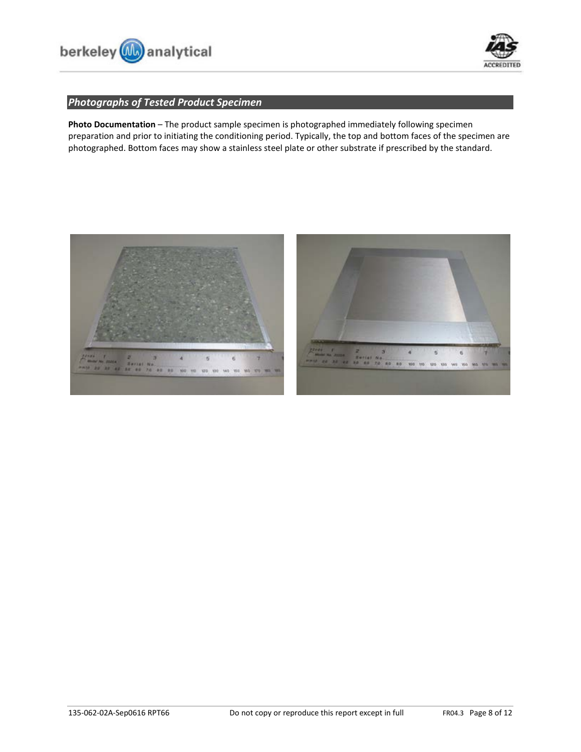



# *Photographs of Tested Product Specimen*

**Photo Documentation** – The product sample specimen is photographed immediately following specimen preparation and prior to initiating the conditioning period. Typically, the top and bottom faces of the specimen are photographed. Bottom faces may show a stainless steel plate or other substrate if prescribed by the standard.



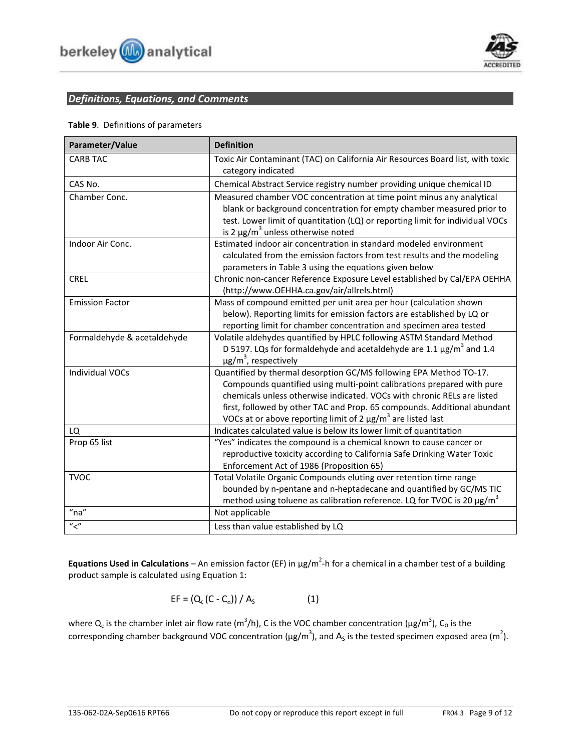

# *Definitions, Equations, and Comments*

## **Table 9**. Definitions of parameters

| Parameter/Value             | <b>Definition</b>                                                                                                                                        |
|-----------------------------|----------------------------------------------------------------------------------------------------------------------------------------------------------|
| <b>CARB TAC</b>             | Toxic Air Contaminant (TAC) on California Air Resources Board list, with toxic                                                                           |
|                             | category indicated                                                                                                                                       |
| CAS No.                     | Chemical Abstract Service registry number providing unique chemical ID                                                                                   |
| Chamber Conc.               | Measured chamber VOC concentration at time point minus any analytical                                                                                    |
|                             | blank or background concentration for empty chamber measured prior to                                                                                    |
|                             | test. Lower limit of quantitation (LQ) or reporting limit for individual VOCs                                                                            |
|                             | is 2 $\mu$ g/m <sup>3</sup> unless otherwise noted                                                                                                       |
| Indoor Air Conc.            | Estimated indoor air concentration in standard modeled environment                                                                                       |
|                             | calculated from the emission factors from test results and the modeling<br>parameters in Table 3 using the equations given below                         |
| <b>CREL</b>                 | Chronic non-cancer Reference Exposure Level established by Cal/EPA OEHHA                                                                                 |
|                             | (http://www.OEHHA.ca.gov/air/allrels.html)                                                                                                               |
| <b>Emission Factor</b>      | Mass of compound emitted per unit area per hour (calculation shown                                                                                       |
|                             | below). Reporting limits for emission factors are established by LQ or                                                                                   |
|                             | reporting limit for chamber concentration and specimen area tested                                                                                       |
| Formaldehyde & acetaldehyde | Volatile aldehydes quantified by HPLC following ASTM Standard Method                                                                                     |
|                             | D 5197. LQs for formaldehyde and acetaldehyde are 1.1 $\mu$ g/m <sup>3</sup> and 1.4                                                                     |
|                             | $\mu$ g/m <sup>3</sup> , respectively                                                                                                                    |
| <b>Individual VOCs</b>      | Quantified by thermal desorption GC/MS following EPA Method TO-17.                                                                                       |
|                             | Compounds quantified using multi-point calibrations prepared with pure                                                                                   |
|                             | chemicals unless otherwise indicated. VOCs with chronic RELs are listed                                                                                  |
|                             | first, followed by other TAC and Prop. 65 compounds. Additional abundant<br>VOCs at or above reporting limit of 2 $\mu$ g/m <sup>3</sup> are listed last |
| LQ                          | Indicates calculated value is below its lower limit of quantitation                                                                                      |
| Prop 65 list                | "Yes" indicates the compound is a chemical known to cause cancer or                                                                                      |
|                             | reproductive toxicity according to California Safe Drinking Water Toxic                                                                                  |
|                             | Enforcement Act of 1986 (Proposition 65)                                                                                                                 |
| <b>TVOC</b>                 | Total Volatile Organic Compounds eluting over retention time range                                                                                       |
|                             | bounded by n-pentane and n-heptadecane and quantified by GC/MS TIC                                                                                       |
|                             | method using toluene as calibration reference. LQ for TVOC is 20 µg/m <sup>3</sup>                                                                       |
| $"$ na"                     | Not applicable                                                                                                                                           |
| $^{\prime\prime}$           | Less than value established by LQ                                                                                                                        |

**Equations Used in Calculations** – An emission factor (EF) in µg/m<sup>2</sup>-h for a chemical in a chamber test of a building product sample is calculated using Equation 1:

$$
EF = (Q_c (C - C_o)) / A_s
$$
 (1)

where Q<sub>c</sub> is the chamber inlet air flow rate (m<sup>3</sup>/h), C is the VOC chamber concentration (µg/m<sup>3</sup>), C<sub>o</sub> is the corresponding chamber background VOC concentration ( $\mu$ g/m<sup>3</sup>), and A<sub>s</sub> is the tested specimen exposed area (m<sup>2</sup>).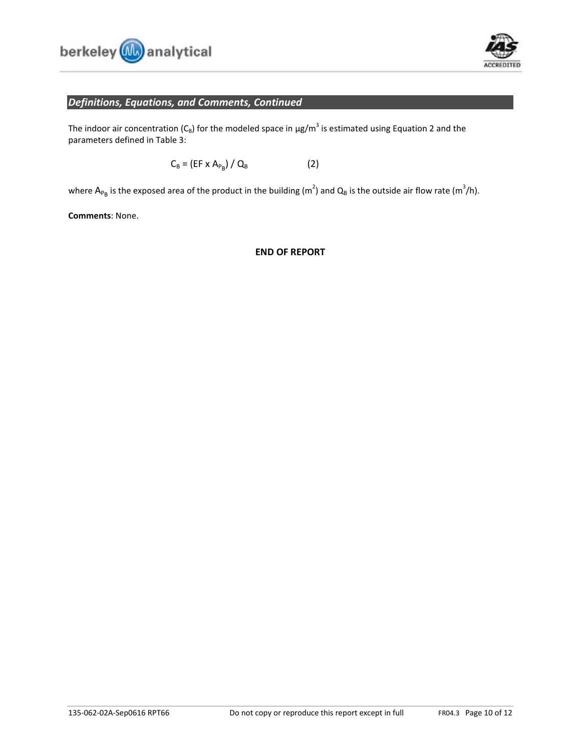



# *Definitions, Equations, and Comments, Continued*

The indoor air concentration ( $C_B$ ) for the modeled space in  $\mu$ g/m<sup>3</sup> is estimated using Equation 2 and the parameters defined in Table 3:

$$
C_{B} = (EF \times A_{P_{B}}) / Q_{B}
$$
 (2)

where  $A_{P_B}$  is the exposed area of the product in the building (m<sup>2</sup>) and  $Q_B$  is the outside air flow rate (m<sup>3</sup>/h).

**Comments**: None.

## **END OF REPORT**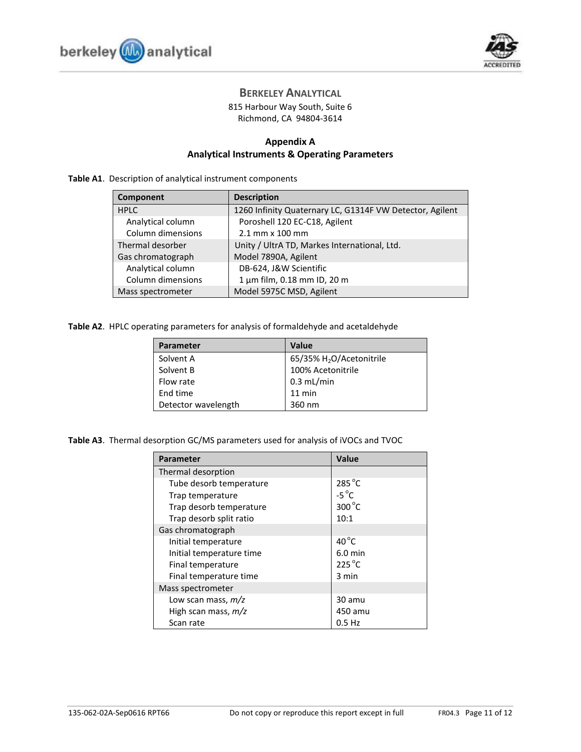



# **BERKELEY ANALYTICAL**

815 Harbour Way South, Suite 6 Richmond, CA 94804-3614

## **Appendix A Analytical Instruments & Operating Parameters**

## **Table A1**. Description of analytical instrument components

| Component         | <b>Description</b>                                       |
|-------------------|----------------------------------------------------------|
| <b>HPLC</b>       | 1260 Infinity Quaternary LC, G1314F VW Detector, Agilent |
| Analytical column | Poroshell 120 EC-C18, Agilent                            |
| Column dimensions | 2.1 mm x 100 mm                                          |
| Thermal desorber  | Unity / UltrA TD, Markes International, Ltd.             |
| Gas chromatograph | Model 7890A, Agilent                                     |
| Analytical column | DB-624, J&W Scientific                                   |
| Column dimensions | 1 µm film, 0.18 mm ID, 20 m                              |
| Mass spectrometer | Model 5975C MSD, Agilent                                 |

**Table A2**. HPLC operating parameters for analysis of formaldehyde and acetaldehyde

| <b>Parameter</b>    | Value                                |
|---------------------|--------------------------------------|
| Solvent A           | 65/35% H <sub>2</sub> O/Acetonitrile |
| Solvent B           | 100% Acetonitrile                    |
| Flow rate           | $0.3$ mL/min                         |
| End time            | $11$ min                             |
| Detector wavelength | 360 nm                               |

**Table A3**. Thermal desorption GC/MS parameters used for analysis of iVOCs and TVOC

| <b>Parameter</b>         | Value           |
|--------------------------|-----------------|
| Thermal desorption       |                 |
| Tube desorb temperature  | $285^{\circ}$ C |
| Trap temperature         | $-5^{\circ}$ C  |
| Trap desorb temperature  | 300°C           |
| Trap desorb split ratio  | 10:1            |
| Gas chromatograph        |                 |
| Initial temperature      | $40^{\circ}$ C  |
| Initial temperature time | $6.0$ min       |
| Final temperature        | $225^{\circ}$ C |
| Final temperature time   | 3 min           |
| Mass spectrometer        |                 |
| Low scan mass, $m/z$     | 30 amu          |
| High scan mass, m/z      | 450 amu         |
| Scan rate                | 0.5 Hz          |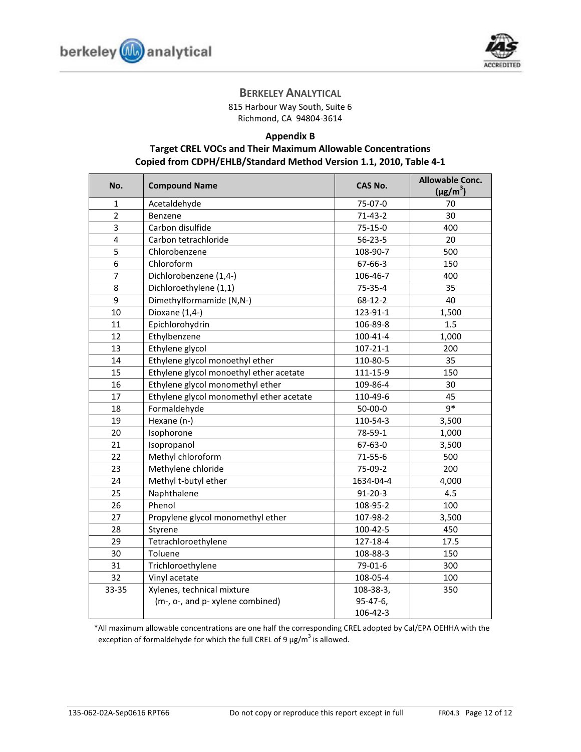



# **BERKELEY ANALYTICAL**

815 Harbour Way South, Suite 6 Richmond, CA 94804-3614

# **Appendix B Target CREL VOCs and Their Maximum Allowable Concentrations Copied from CDPH/EHLB/Standard Method Version 1.1, 2010, Table 4-1**

| No.            | <b>Compound Name</b>                     | <b>CAS No.</b> | <b>Allowable Conc.</b><br>$(\mu g/m^3)$ |
|----------------|------------------------------------------|----------------|-----------------------------------------|
| 1              | Acetaldehyde                             | 75-07-0        | 70                                      |
| $\overline{2}$ | Benzene                                  | $71-43-2$      | 30                                      |
| 3              | Carbon disulfide                         | $75 - 15 - 0$  | 400                                     |
| 4              | Carbon tetrachloride                     | $56 - 23 - 5$  | 20                                      |
| 5              | Chlorobenzene                            | 108-90-7       | 500                                     |
| 6              | Chloroform                               | 67-66-3        | 150                                     |
| 7              | Dichlorobenzene (1,4-)                   | 106-46-7       | 400                                     |
| 8              | Dichloroethylene (1,1)                   | 75-35-4        | 35                                      |
| 9              | Dimethylformamide (N,N-)                 | $68 - 12 - 2$  | 40                                      |
| 10             | Dioxane (1,4-)                           | 123-91-1       | 1,500                                   |
| 11             | Epichlorohydrin                          | 106-89-8       | 1.5                                     |
| 12             | Ethylbenzene                             | $100 - 41 - 4$ | 1,000                                   |
| 13             | Ethylene glycol                          | $107 - 21 - 1$ | 200                                     |
| 14             | Ethylene glycol monoethyl ether          | 110-80-5       | 35                                      |
| 15             | Ethylene glycol monoethyl ether acetate  | 111-15-9       | 150                                     |
| 16             | Ethylene glycol monomethyl ether         | 109-86-4       | 30                                      |
| 17             | Ethylene glycol monomethyl ether acetate | 110-49-6       | 45                                      |
| 18             | Formaldehyde                             | $50 - 00 - 0$  | $9*$                                    |
| 19             | Hexane (n-)                              | 110-54-3       | 3,500                                   |
| 20             | Isophorone                               | 78-59-1        | 1,000                                   |
| 21             | Isopropanol                              | 67-63-0        | 3,500                                   |
| 22             | Methyl chloroform                        | $71 - 55 - 6$  | 500                                     |
| 23             | Methylene chloride                       | 75-09-2        | 200                                     |
| 24             | Methyl t-butyl ether                     | 1634-04-4      | 4,000                                   |
| 25             | Naphthalene                              | $91 - 20 - 3$  | 4.5                                     |
| 26             | Phenol                                   | 108-95-2       | 100                                     |
| 27             | Propylene glycol monomethyl ether        | 107-98-2       | 3,500                                   |
| 28             | Styrene                                  | $100 - 42 - 5$ | 450                                     |
| 29             | Tetrachloroethylene                      | 127-18-4       | 17.5                                    |
| 30             | Toluene                                  | 108-88-3       | 150                                     |
| 31             | Trichloroethylene                        | 79-01-6        | 300                                     |
| 32             | Vinyl acetate                            | 108-05-4       | 100                                     |
| 33-35          | Xylenes, technical mixture               | 108-38-3,      | 350                                     |
|                | (m-, o-, and p- xylene combined)         | 95-47-6,       |                                         |
|                |                                          | 106-42-3       |                                         |

\*All maximum allowable concentrations are one half the corresponding CREL adopted by Cal/EPA OEHHA with the exception of formaldehyde for which the full CREL of 9  $\mu$ g/m<sup>3</sup> is allowed.